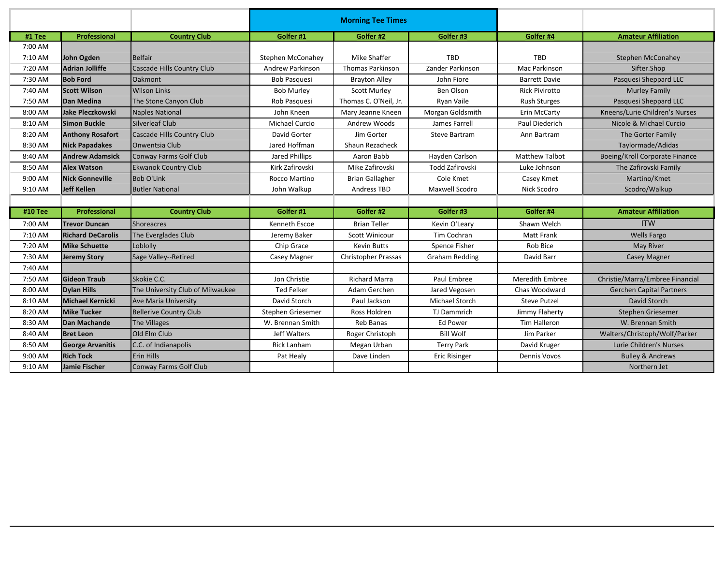|         |                          |                                  | <b>Morning Tee Times</b> |                            |                        |                       |                                 |
|---------|--------------------------|----------------------------------|--------------------------|----------------------------|------------------------|-----------------------|---------------------------------|
| #1 Tee  | Professional             | <b>Country Club</b>              | Golfer #1                | Golfer #2                  | Golfer #3              | Golfer #4             | <b>Amateur Affiliation</b>      |
| 7:00 AM |                          |                                  |                          |                            |                        |                       |                                 |
| 7:10 AM | John Ogden               | Belfair                          | Stephen McConahey        | Mike Shaffer               | <b>TBD</b>             | TBD                   | <b>Stephen McConahey</b>        |
| 7:20 AM | <b>Adrian Jolliffe</b>   | Cascade Hills Country Club       | Andrew Parkinson         | <b>Thomas Parkinson</b>    | Zander Parkinson       | Mac Parkinson         | Sifter.Shop                     |
| 7:30 AM | <b>Bob Ford</b>          | <b>Oakmont</b>                   | <b>Bob Pasquesi</b>      | <b>Brayton Alley</b>       | John Fiore             | <b>Barrett Davie</b>  | Pasquesi Sheppard LLC           |
| 7:40 AM | <b>Scott Wilson</b>      | <b>Wilson Links</b>              | <b>Bob Murley</b>        | <b>Scott Murley</b>        | Ben Olson              | <b>Rick Pivirotto</b> | <b>Murley Family</b>            |
| 7:50 AM | Dan Medina               | The Stone Canyon Club            | Rob Pasquesi             | Thomas C. O'Neil, Jr.      | Ryan Vaile             | <b>Rush Sturges</b>   | Pasquesi Sheppard LLC           |
| 8:00 AM | Jake Pleczkowski         | <b>Naples National</b>           | John Kneen               | Mary Jeanne Kneen          | Morgan Goldsmith       | Erin McCarty          | Kneens/Lurie Children's Nurses  |
| 8:10 AM | <b>Simon Buckle</b>      | Silverleaf Club                  | <b>Michael Curcio</b>    | Andrew Woods               | James Farrell          | Paul Diederich        | Nicole & Michael Curcio         |
| 8:20 AM | <b>Anthony Rosafort</b>  | Cascade Hills Country Club       | David Gorter             | Jim Gorter                 | Steve Bartram          | Ann Bartram           | The Gorter Family               |
| 8:30 AM | <b>Nick Papadakes</b>    | Onwentsia Club                   | Jared Hoffman            | Shaun Rezacheck            |                        |                       | Taylormade/Adidas               |
| 8:40 AM | <b>Andrew Adamsick</b>   | <b>Conway Farms Golf Club</b>    | Jared Phillips           | Aaron Babb                 | Hayden Carlson         | <b>Matthew Talbot</b> | Boeing/Kroll Corporate Finance  |
| 8:50 AM | <b>Alex Watson</b>       | <b>Ekwanok Country Club</b>      | Kirk Zafirovski          | Mike Zafirovski            | <b>Todd Zafirovski</b> | Luke Johnson          | The Zafirovski Family           |
| 9:00 AM | <b>Nick Gonneville</b>   | <b>Bob O'Link</b>                | Rocco Martino            | <b>Brian Gallagher</b>     | Cole Kmet              | Casey Kmet            | Martino/Kmet                    |
| 9:10 AM | <b>Jeff Kellen</b>       | <b>Butler National</b>           | John Walkup              | <b>Andress TBD</b>         | <b>Maxwell Scodro</b>  | Nick Scodro           | Scodro/Walkup                   |
|         |                          |                                  |                          |                            |                        |                       |                                 |
| #10 Tee | <b>Professional</b>      | <b>Country Club</b>              | Golfer #1                | Golfer #2                  | Golfer #3              | Golfer #4             | <b>Amateur Affiliation</b>      |
| 7:00 AM | <b>Trevor Duncan</b>     | <b>Shoreacres</b>                | Kenneth Escoe            | <b>Brian Teller</b>        | Kevin O'Leary          | Shawn Welch           | <b>ITW</b>                      |
| 7:10 AM | <b>Richard DeCarolis</b> | The Everglades Club              | Jeremy Baker             | Scott Winicour             | Tim Cochran            | <b>Matt Frank</b>     | <b>Wells Fargo</b>              |
| 7:20 AM | <b>Mike Schuette</b>     | Loblolly                         | Chip Grace               | <b>Kevin Butts</b>         | Spence Fisher          | Rob Bice              | <b>May River</b>                |
| 7:30 AM | <b>Jeremy Story</b>      | Sage Valley--Retired             | Casey Magner             | <b>Christopher Prassas</b> | <b>Graham Redding</b>  | David Barr            | <b>Casey Magner</b>             |
| 7:40 AM |                          |                                  |                          |                            |                        |                       |                                 |
| 7:50 AM | <b>Gideon Traub</b>      | Skokie C.C.                      | Jon Christie             | <b>Richard Marra</b>       | Paul Embree            | Meredith Embree       | Christie/Marra/Embree Financial |
| 8:00 AM | <b>Dylan Hills</b>       | The University Club of Milwaukee | <b>Ted Felker</b>        | Adam Gerchen               | Jared Vegosen          | Chas Woodward         | <b>Gerchen Capital Partners</b> |
| 8:10 AM | <b>Michael Kernicki</b>  | <b>Ave Maria University</b>      | David Storch             | Paul Jackson               | <b>Michael Storch</b>  | <b>Steve Putzel</b>   | David Storch                    |
| 8:20 AM | <b>Mike Tucker</b>       | <b>Bellerive Country Club</b>    | Stephen Griesemer        | <b>Ross Holdren</b>        | TJ Dammrich            | Jimmy Flaherty        | Stephen Griesemer               |
| 8:30 AM | Dan Machande             | <b>The Villages</b>              | W. Brennan Smith         | <b>Reb Banas</b>           | Ed Power               | <b>Tim Halleron</b>   | W. Brennan Smith                |
| 8:40 AM | <b>Bret Leon</b>         | Old Elm Club                     | Jeff Walters             | Roger Christoph            | <b>Bill Wolf</b>       | Jim Parker            | Walters/Christoph/Wolf/Parker   |
| 8:50 AM | <b>George Arvanitis</b>  | C.C. of Indianapolis             | <b>Rick Lanham</b>       | Megan Urban                | <b>Terry Park</b>      | David Kruger          | Lurie Children's Nurses         |
| 9:00 AM | <b>Rich Tock</b>         | <b>Erin Hills</b>                | Pat Healy                | Dave Linden                | <b>Eric Risinger</b>   | <b>Dennis Vovos</b>   | <b>Bulley &amp; Andrews</b>     |
| 9:10 AM | Jamie Fischer            | <b>Conway Farms Golf Club</b>    |                          |                            |                        |                       | Northern Jet                    |